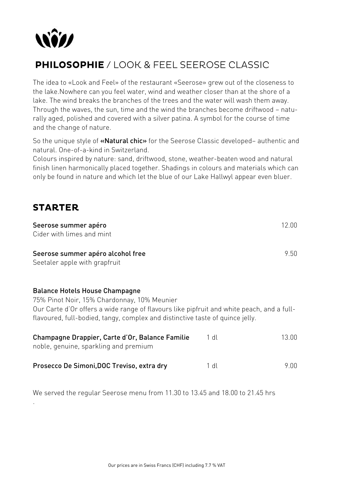

# **PHILOSOPHIE** / LOOK & FEEL SEEROSE CLASSIC

The idea to «Look and Feel» of the restaurant «Seerose» grew out of the closeness to the lake.Nowhere can you feel water, wind and weather closer than at the shore of a lake. The wind breaks the branches of the trees and the water will wash them away. Through the waves, the sun, time and the wind the branches become driftwood – naturally aged, polished and covered with a silver patina. A symbol for the course of time and the change of nature.

So the unique style of «Natural chic» for the Seerose Classic developed– authentic and natural. One-of-a-kind in Switzerland.

Colours inspired by nature: sand, driftwood, stone, weather-beaten wood and natural finish linen harmonically placed together. Shadings in colours and materials which can only be found in nature and which let the blue of our Lake Hallwyl appear even bluer.

### **STARTER**

.

| Seerose summer apéro                                                                                                                                                                                                                                               |      | 12.00 |
|--------------------------------------------------------------------------------------------------------------------------------------------------------------------------------------------------------------------------------------------------------------------|------|-------|
| Cider with limes and mint                                                                                                                                                                                                                                          |      |       |
| Seerose summer apéro alcohol free<br>Seetaler apple with grapfruit                                                                                                                                                                                                 |      | 9.50  |
| <b>Balance Hotels House Champagne</b><br>75% Pinot Noir, 15% Chardonnay, 10% Meunier<br>Our Carte d'Or offers a wide range of flavours like pipfruit and white peach, and a full-<br>flavoured, full-bodied, tangy, complex and distinctive taste of quince jelly. |      |       |
| Champagne Drappier, Carte d'Or, Balance Familie<br>noble, genuine, sparkling and premium                                                                                                                                                                           | 1 dl | 13.00 |
| Prosecco De Simoni, DOC Treviso, extra dry                                                                                                                                                                                                                         | 1 dl | 9.00  |

We served the regular Seerose menu from 11.30 to 13.45 and 18.00 to 21.45 hrs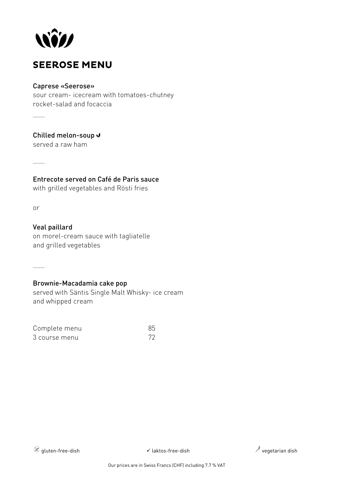

### **SEEROSE MENU**

#### Caprese «Seerose»

sour cream- icecream with tomatoes-chutney rocket-salad and focaccia

Chilled melon-soup

served a raw ham

Entrecote served on Café de Paris sauce

with grilled vegetables and Rösti fries

or

 $\overline{\phantom{a}}$ 

 $\overline{\phantom{a}}$ 

 $\overline{\phantom{a}}$ 

Veal paillard on morel-cream sauce with tagliatelle and grilled vegetables

### Brownie-Macadamia cake pop

served with Säntis Single Malt Whisky- ice cream and whipped cream

| Complete menu | 85 |
|---------------|----|
| 3 course menu | 72 |

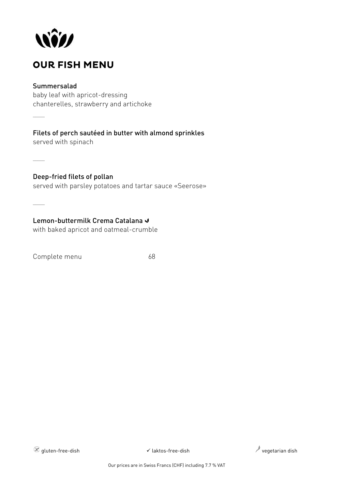

## **OUR FISH MENU**

### Summersalad

 $\overline{\phantom{a}}$ 

 $\overline{\phantom{a}}$ 

 $\overline{\phantom{a}}$ 

baby leaf with apricot-dressing chanterelles, strawberry and artichoke

Filets of perch sautéed in butter with almond sprinkles served with spinach

Deep-fried filets of pollan served with parsley potatoes and tartar sauce «Seerose»

Lemon-buttermilk Crema Catalana V with baked apricot and oatmeal-crumble

Complete menu 68



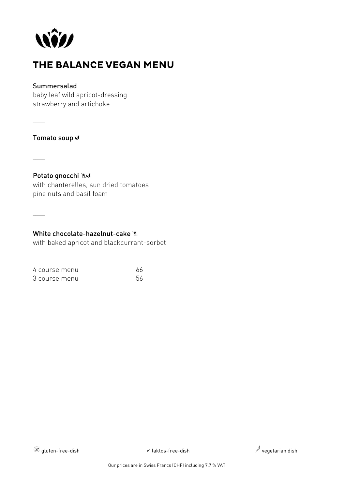

## THE BALANCE VEGAN MENU

### Summersalad

baby leaf wild apricot-dressing strawberry and artichoke

 $\overline{\phantom{a}}$ 

Tomato soup J

 $\sim$ 

 $\overline{\phantom{a}}$ 

Potato gnocchi AJ with chanterelles, sun dried tomatoes pine nuts and basil foam

White chocolate-hazelnut-cake  $\mathbb{A}$ 

with baked apricot and blackcurrant-sorbet

|  | 4 course menu | 66 |
|--|---------------|----|
|  | 3 course menu | 56 |

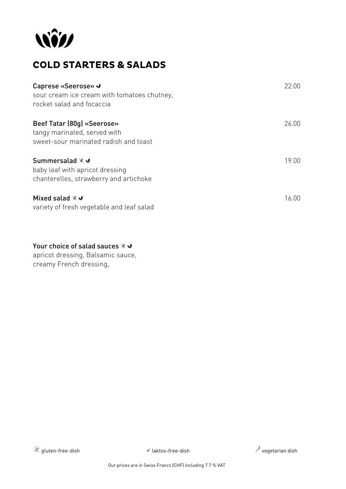

## **COLD STARTERS & SALADS**

| Caprese «Seerose» √<br>sour cream ice cream with tomatoes chutney.<br>rocket salad and focaccia     | 22.00 |
|-----------------------------------------------------------------------------------------------------|-------|
| Beef Tatar (80g) «Seerose»<br>tangy marinated, served with<br>sweet-sour marinated radish and toast | 26.00 |
| Summersalad ※ J<br>baby leaf with apricot dressing<br>chanterelles, strawberry and artichoke        | 19.00 |
| Mixed salad ※√<br>variety of fresh vegetable and leaf salad                                         | 16.00 |

### Your choice of salad sauces  $* \blacktriangleleft$

apricot dressing, Balsamic sauce, creamy French dressing,

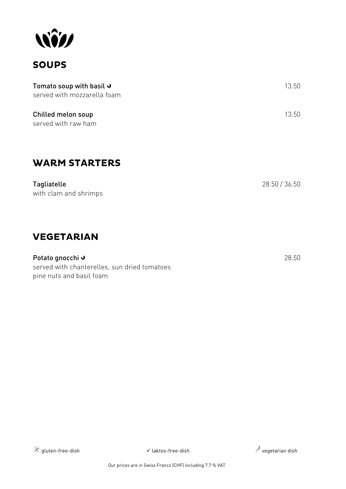

### **SOUPS**

| Tomato soup with basil $\sqrt{ }$ | -13.50 |
|-----------------------------------|--------|
| served with mozzarella foam       |        |
| Chilled melon soup                | -13.50 |

served with raw ham

## **WARM STARTERS**

Tagliatelle 28.50 / 36.50 with clam and shrimps

### **VEGETARIAN**

Potato gnocchi viene stati all'estati all'estati all'estati all'estati all'estati all'estati all'estati all'es served with chanterelles, sun dried tomatoes pine nuts and basil foam

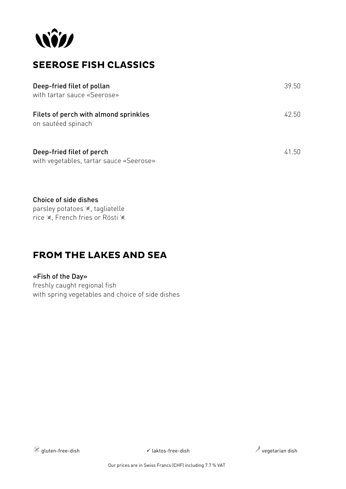

## **SEEROSE FISH CLASSICS**

| Deep-fried filet of pollan<br>with tartar sauce «Seerose»            | 39.50 |
|----------------------------------------------------------------------|-------|
| Filets of perch with almond sprinkles<br>on sautéed spinach          | 42.50 |
| Deep-fried filet of perch<br>with vegetables, tartar sauce «Seerose» | 41.50 |

Choice of side dishes parsley potatoes  $*$ , tagliatelle rice ※, French fries or Rösti ※

### **FROM THE LAKES AND SEA**

#### «Fish of the Day»

freshly caught regional fish with spring vegetables and choice of side dishes

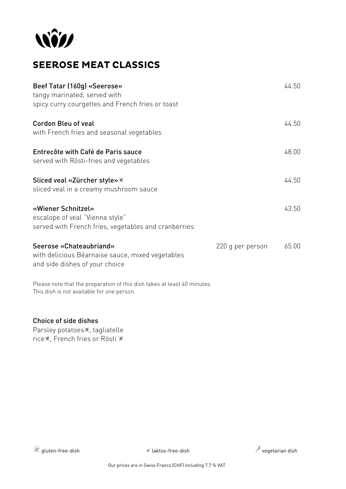

# **SEEROSE MEAT CLASSICS**

| Beef Tatar (160g) «Seerose»<br>tangy marinated, served with<br>spicy curry courgettes and French fries or toast        |                  | 44.50 |
|------------------------------------------------------------------------------------------------------------------------|------------------|-------|
| <b>Cordon Bleu of veal</b><br>with French fries and seasonal vegetables                                                |                  | 44.50 |
| Entrecôte with Café de Paris sauce<br>served with Rösti-fries and vegetables                                           |                  | 48.00 |
| Sliced veal «Zürcher style» *<br>sliced veal in a creamy mushroom sauce                                                |                  | 44.50 |
| «Wiener Schnitzel»<br>escalope of veal "Vienna style"<br>served with French fries, vegetables and cranberries          |                  | 43.50 |
| Seerose «Chateaubriand»<br>with delicious Béarnaise sauce, mixed vegetables<br>and side dishes of your choice          | 220 g per person | 65.00 |
| Please note that the preparation of this dish takes at least 40 minutes.<br>This dish is not available for one person. |                  |       |

### Choice of side dishes

Parsley potatoes<sup>\*</sup>, tagliatelle rice※, French fries or Rösti ※